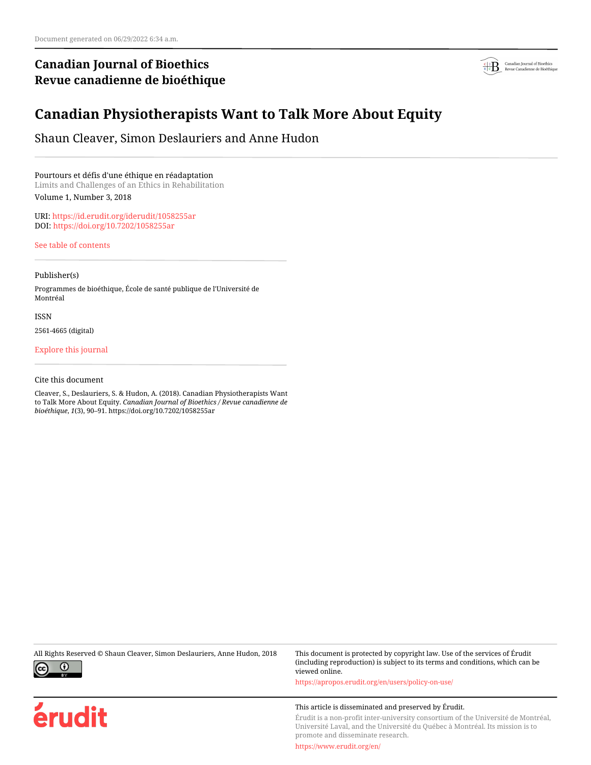## **Canadian Journal of Bioethics Revue canadienne de bioéthique**



# **Canadian Physiotherapists Want to Talk More About Equity**

Shaun Cleaver, Simon Deslauriers and Anne Hudon

Pourtours et défis d'une éthique en réadaptation Limits and Challenges of an Ethics in Rehabilitation Volume 1, Number 3, 2018

URI:<https://id.erudit.org/iderudit/1058255ar> DOI:<https://doi.org/10.7202/1058255ar>

[See table of contents](https://www.erudit.org/en/journals/bioethics/2018-v1-n3-bioethics04464/)

Publisher(s)

Programmes de bioéthique, École de santé publique de l'Université de Montréal

ISSN

2561-4665 (digital)

[Explore this journal](https://www.erudit.org/en/journals/bioethics/)

Cite this document

Cleaver, S., Deslauriers, S. & Hudon, A. (2018). Canadian Physiotherapists Want to Talk More About Equity. *Canadian Journal of Bioethics / Revue canadienne de bioéthique*, *1*(3), 90–91. https://doi.org/10.7202/1058255ar



érudit

All Rights Reserved © Shaun Cleaver, Simon Deslauriers, Anne Hudon, 2018 This document is protected by copyright law. Use of the services of Érudit (including reproduction) is subject to its terms and conditions, which can be viewed online.

<https://apropos.erudit.org/en/users/policy-on-use/>

### This article is disseminated and preserved by Érudit.

Érudit is a non-profit inter-university consortium of the Université de Montréal, Université Laval, and the Université du Québec à Montréal. Its mission is to promote and disseminate research.

<https://www.erudit.org/en/>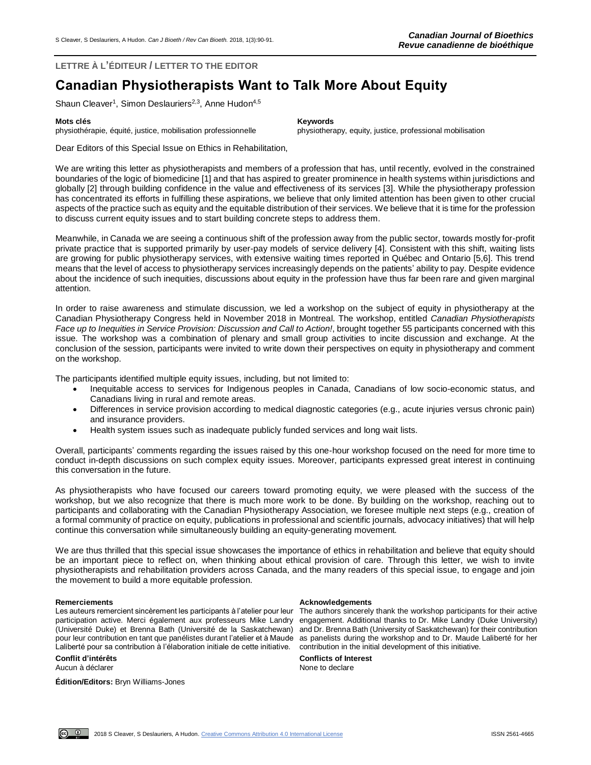**LETTRE À L'ÉDITEUR / LETTER TO THE EDITOR**

# **Canadian Physiotherapists Want to Talk More About Equity**

Shaun Cleaver<sup>1</sup>, Simon Deslauriers<sup>2,3</sup>, Anne Hudon<sup>4,5</sup>

### **Mots clés Keywords**

physiothérapie, équité, justice, mobilisation professionnelle physiotherapy, equity, justice, professional mobilisation

Dear Editors of this Special Issue on Ethics in Rehabilitation,

We are writing this letter as physiotherapists and members of a profession that has, until recently, evolved in the constrained boundaries of the logic of biomedicine [1] and that has aspired to greater prominence in health systems within jurisdictions and globally [2] through building confidence in the value and effectiveness of its services [3]. While the physiotherapy profession has concentrated its efforts in fulfilling these aspirations, we believe that only limited attention has been given to other crucial aspects of the practice such as equity and the equitable distribution of their services. We believe that it is time for the profession to discuss current equity issues and to start building concrete steps to address them.

Meanwhile, in Canada we are seeing a continuous shift of the profession away from the public sector, towards mostly for-profit private practice that is supported primarily by user-pay models of service delivery [4]. Consistent with this shift, waiting lists are growing for public physiotherapy services, with extensive waiting times reported in Québec and Ontario [5,6]. This trend means that the level of access to physiotherapy services increasingly depends on the patients' ability to pay. Despite evidence about the incidence of such inequities, discussions about equity in the profession have thus far been rare and given marginal attention.

In order to raise awareness and stimulate discussion, we led a workshop on the subject of equity in physiotherapy at the Canadian Physiotherapy Congress held in November 2018 in Montreal. The workshop, entitled *Canadian Physiotherapists Face up to Inequities in Service Provision: Discussion and Call to Action!*, brought together 55 participants concerned with this issue. The workshop was a combination of plenary and small group activities to incite discussion and exchange. At the conclusion of the session, participants were invited to write down their perspectives on equity in physiotherapy and comment on the workshop.

The participants identified multiple equity issues, including, but not limited to:

- Inequitable access to services for Indigenous peoples in Canada, Canadians of low socio-economic status, and Canadians living in rural and remote areas.
- Differences in service provision according to medical diagnostic categories (e.g., acute injuries versus chronic pain) and insurance providers.
- Health system issues such as inadequate publicly funded services and long wait lists.

Overall, participants' comments regarding the issues raised by this one-hour workshop focused on the need for more time to conduct in-depth discussions on such complex equity issues. Moreover, participants expressed great interest in continuing this conversation in the future.

As physiotherapists who have focused our careers toward promoting equity, we were pleased with the success of the workshop, but we also recognize that there is much more work to be done. By building on the workshop, reaching out to participants and collaborating with the Canadian Physiotherapy Association, we foresee multiple next steps (e.g., creation of a formal community of practice on equity, publications in professional and scientific journals, advocacy initiatives) that will help continue this conversation while simultaneously building an equity-generating movement*.*

We are thus thrilled that this special issue showcases the importance of ethics in rehabilitation and believe that equity should be an important piece to reflect on, when thinking about ethical provision of care. Through this letter, we wish to invite physiotherapists and rehabilitation providers across Canada, and the many readers of this special issue, to engage and join the movement to build a more equitable profession.

Les auteurs remercient sincèrement les participants à l'atelier pour leur participation active. Merci également aux professeurs Mike Landry engagement. Additional thanks to Dr. Mike Landry (Duke University) (Université Duke) et Brenna Bath (Université de la Saskatchewan) and Dr. Brenna Bath (University of Saskatchewan) for their contribution pour leur contribution en tant que panélistes durant l'atelier et à Maude as panelists during the workshop and to Dr. Maude Laliberté for her Laliberté pour sa contribution à l'élaboration initiale de cette initiative.

Aucun à déclarer  $\blacksquare$ 

**Édition/Editors:** Bryn Williams-Jones

### **Remerciements Acknowledgements**

The authors sincerely thank the workshop participants for their active contribution in the initial development of this initiative.

**Conflit d'intérêts Conflicts of Interest**